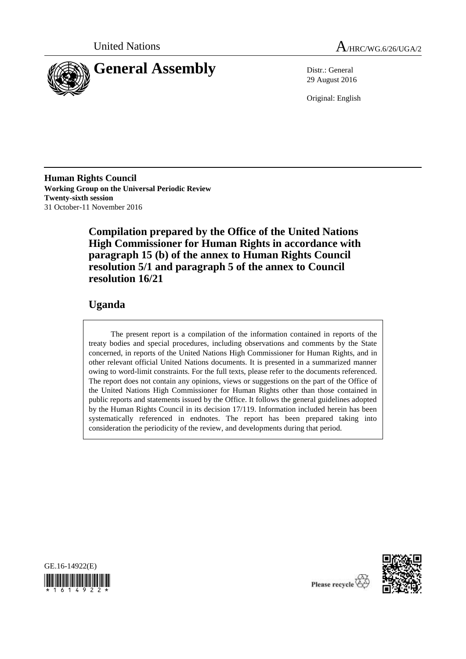



29 August 2016

Original: English

**Human Rights Council Working Group on the Universal Periodic Review Twenty-sixth session** 31 October-11 November 2016

> **Compilation prepared by the Office of the United Nations High Commissioner for Human Rights in accordance with paragraph 15 (b) of the annex to Human Rights Council resolution 5/1 and paragraph 5 of the annex to Council resolution 16/21**

# **Uganda**

The present report is a compilation of the information contained in reports of the treaty bodies and special procedures, including observations and comments by the State concerned, in reports of the United Nations High Commissioner for Human Rights, and in other relevant official United Nations documents. It is presented in a summarized manner owing to word-limit constraints. For the full texts, please refer to the documents referenced. The report does not contain any opinions, views or suggestions on the part of the Office of the United Nations High Commissioner for Human Rights other than those contained in public reports and statements issued by the Office. It follows the general guidelines adopted by the Human Rights Council in its decision 17/119. Information included herein has been systematically referenced in endnotes. The report has been prepared taking into consideration the periodicity of the review, and developments during that period.





Please recycle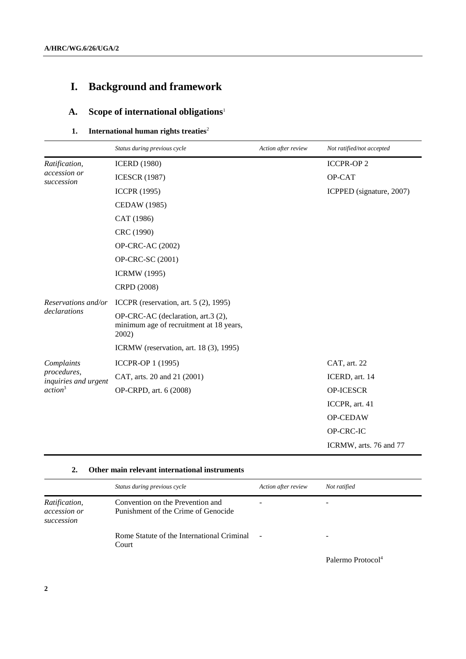# **I. Background and framework**

# **A. Scope of international obligations**<sup>1</sup>

## **1.** International human rights treaties<sup>2</sup>

|                                                                          | Status during previous cycle                                                           | Action after review | Not ratified/not accepted |
|--------------------------------------------------------------------------|----------------------------------------------------------------------------------------|---------------------|---------------------------|
| Ratification,<br>accession or<br>succession                              | <b>ICERD (1980)</b>                                                                    |                     | <b>ICCPR-OP2</b>          |
|                                                                          | <b>ICESCR (1987)</b>                                                                   |                     | OP-CAT                    |
|                                                                          | <b>ICCPR (1995)</b>                                                                    |                     | ICPPED (signature, 2007)  |
|                                                                          | <b>CEDAW</b> (1985)                                                                    |                     |                           |
|                                                                          | CAT (1986)                                                                             |                     |                           |
|                                                                          | CRC (1990)                                                                             |                     |                           |
|                                                                          | <b>OP-CRC-AC (2002)</b>                                                                |                     |                           |
|                                                                          | OP-CRC-SC (2001)                                                                       |                     |                           |
|                                                                          | <b>ICRMW</b> (1995)                                                                    |                     |                           |
|                                                                          | CRPD (2008)                                                                            |                     |                           |
| Reservations and/or                                                      | ICCPR (reservation, art. 5 (2), 1995)                                                  |                     |                           |
| declarations                                                             | OP-CRC-AC (declaration, art.3 (2),<br>minimum age of recruitment at 18 years,<br>2002) |                     |                           |
|                                                                          | ICRMW (reservation, art. 18 (3), 1995)                                                 |                     |                           |
| Complaints<br>procedures,<br>inquiries and urgent<br>action <sup>3</sup> | ICCPR-OP 1 (1995)                                                                      |                     | CAT, art. 22              |
|                                                                          | CAT, arts. 20 and 21 (2001)                                                            |                     | ICERD, art. 14            |
|                                                                          | OP-CRPD, art. 6 (2008)                                                                 |                     | OP-ICESCR                 |
|                                                                          |                                                                                        |                     | ICCPR, art. 41            |
|                                                                          |                                                                                        |                     | OP-CEDAW                  |
|                                                                          |                                                                                        |                     | OP-CRC-IC                 |
|                                                                          |                                                                                        |                     | ICRMW, arts. 76 and 77    |

#### **2. Other main relevant international instruments**

|                                                    | Status during previous cycle                                            | Action after review | Not ratified |
|----------------------------------------------------|-------------------------------------------------------------------------|---------------------|--------------|
| Ratification,<br><i>accession or</i><br>succession | Convention on the Prevention and<br>Punishment of the Crime of Genocide |                     |              |
|                                                    | Rome Statute of the International Criminal<br>Court                     |                     | -            |

Palermo Protocol<sup>4</sup>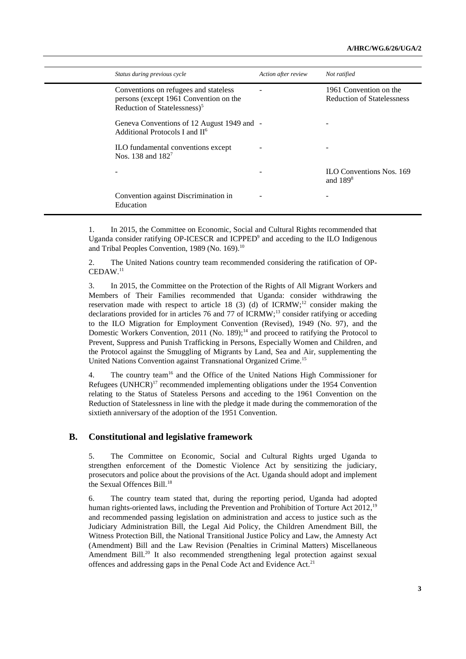| Status during previous cycle                                                                                                | Action after review | Not ratified                                                |
|-----------------------------------------------------------------------------------------------------------------------------|---------------------|-------------------------------------------------------------|
| Conventions on refugees and stateless<br>persons (except 1961 Convention on the<br>Reduction of Statelessness) <sup>5</sup> |                     | 1961 Convention on the<br><b>Reduction of Statelessness</b> |
| Geneva Conventions of 12 August 1949 and -<br>Additional Protocols I and II <sup>6</sup>                                    |                     |                                                             |
| ILO fundamental conventions except<br>Nos. 138 and $182^7$                                                                  |                     |                                                             |
|                                                                                                                             |                     | <b>ILO Conventions Nos. 169</b><br>and $1898$               |
| Convention against Discrimination in<br>Education                                                                           |                     |                                                             |

1. In 2015, the Committee on Economic, Social and Cultural Rights recommended that Uganda consider ratifying OP-ICESCR and ICPPED<sup>9</sup> and acceding to the ILO Indigenous and Tribal Peoples Convention, 1989 (No. 169).<sup>10</sup>

2. The United Nations country team recommended considering the ratification of OP-CEDAW.<sup>11</sup>

3. In 2015, the Committee on the Protection of the Rights of All Migrant Workers and Members of Their Families recommended that Uganda: consider withdrawing the reservation made with respect to article 18 (3) (d) of ICRMW;<sup>12</sup> consider making the declarations provided for in articles 76 and 77 of ICRMW; <sup>13</sup> consider ratifying or acceding to the ILO Migration for Employment Convention (Revised), 1949 (No. 97), and the Domestic Workers Convention,  $2011$  (No. 189);<sup>14</sup> and proceed to ratifying the Protocol to Prevent, Suppress and Punish Trafficking in Persons, Especially Women and Children, and the Protocol against the Smuggling of Migrants by Land, Sea and Air, supplementing the United Nations Convention against Transnational Organized Crime. 15

4. The country team<sup>16</sup> and the Office of the United Nations High Commissioner for Refugees (UNHCR)<sup>17</sup> recommended implementing obligations under the 1954 Convention relating to the Status of Stateless Persons and acceding to the 1961 Convention on the Reduction of Statelessness in line with the pledge it made during the commemoration of the sixtieth anniversary of the adoption of the 1951 Convention.

#### **B. Constitutional and legislative framework**

5. The Committee on Economic, Social and Cultural Rights urged Uganda to strengthen enforcement of the Domestic Violence Act by sensitizing the judiciary, prosecutors and police about the provisions of the Act. Uganda should adopt and implement the Sexual Offences Bill.<sup>18</sup>

6. The country team stated that, during the reporting period, Uganda had adopted human rights-oriented laws, including the Prevention and Prohibition of Torture Act 2012,<sup>19</sup> and recommended passing legislation on administration and access to justice such as the Judiciary Administration Bill, the Legal Aid Policy, the Children Amendment Bill, the Witness Protection Bill, the National Transitional Justice Policy and Law, the Amnesty Act (Amendment) Bill and the Law Revision (Penalties in Criminal Matters) Miscellaneous Amendment Bill.<sup>20</sup> It also recommended strengthening legal protection against sexual offences and addressing gaps in the Penal Code Act and Evidence Act.<sup>21</sup>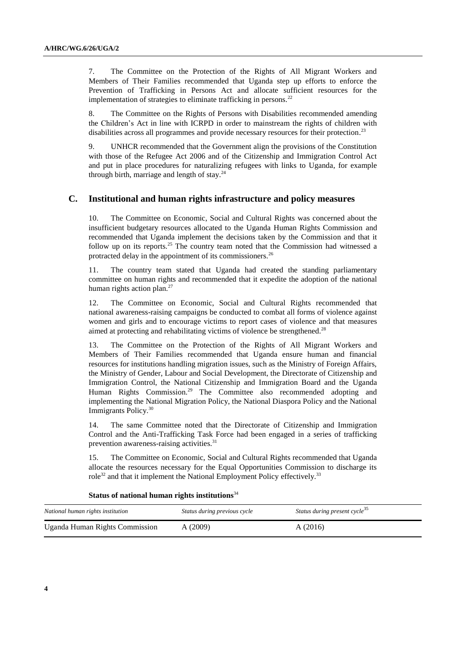7. The Committee on the Protection of the Rights of All Migrant Workers and Members of Their Families recommended that Uganda step up efforts to enforce the Prevention of Trafficking in Persons Act and allocate sufficient resources for the implementation of strategies to eliminate trafficking in persons.<sup>22</sup>

8. The Committee on the Rights of Persons with Disabilities recommended amending the Children's Act in line with ICRPD in order to mainstream the rights of children with disabilities across all programmes and provide necessary resources for their protection.<sup>23</sup>

9. UNHCR recommended that the Government align the provisions of the Constitution with those of the Refugee Act 2006 and of the Citizenship and Immigration Control Act and put in place procedures for naturalizing refugees with links to Uganda, for example through birth, marriage and length of stay. $24$ 

#### **C. Institutional and human rights infrastructure and policy measures**

10. The Committee on Economic, Social and Cultural Rights was concerned about the insufficient budgetary resources allocated to the Uganda Human Rights Commission and recommended that Uganda implement the decisions taken by the Commission and that it follow up on its reports.<sup>25</sup> The country team noted that the Commission had witnessed a protracted delay in the appointment of its commissioners.<sup>26</sup>

11. The country team stated that Uganda had created the standing parliamentary committee on human rights and recommended that it expedite the adoption of the national human rights action plan.<sup>27</sup>

12. The Committee on Economic, Social and Cultural Rights recommended that national awareness-raising campaigns be conducted to combat all forms of violence against women and girls and to encourage victims to report cases of violence and that measures aimed at protecting and rehabilitating victims of violence be strengthened.<sup>28</sup>

13. The Committee on the Protection of the Rights of All Migrant Workers and Members of Their Families recommended that Uganda ensure human and financial resources for institutions handling migration issues, such as the Ministry of Foreign Affairs, the Ministry of Gender, Labour and Social Development, the Directorate of Citizenship and Immigration Control, the National Citizenship and Immigration Board and the Uganda Human Rights Commission.<sup>29</sup> The Committee also recommended adopting and implementing the National Migration Policy, the National Diaspora Policy and the National Immigrants Policy.<sup>30</sup>

14. The same Committee noted that the Directorate of Citizenship and Immigration Control and the Anti-Trafficking Task Force had been engaged in a series of trafficking prevention awareness-raising activities.<sup>31</sup>

15. The Committee on Economic, Social and Cultural Rights recommended that Uganda allocate the resources necessary for the Equal Opportunities Commission to discharge its role<sup>32</sup> and that it implement the National Employment Policy effectively.<sup>33</sup>

**Status of national human rights institutions**<sup>34</sup>

| National human rights institution | Status during previous cycle | Status during present cycle <sup>35</sup> |
|-----------------------------------|------------------------------|-------------------------------------------|
| Uganda Human Rights Commission    | A(2009)                      | A(2016)                                   |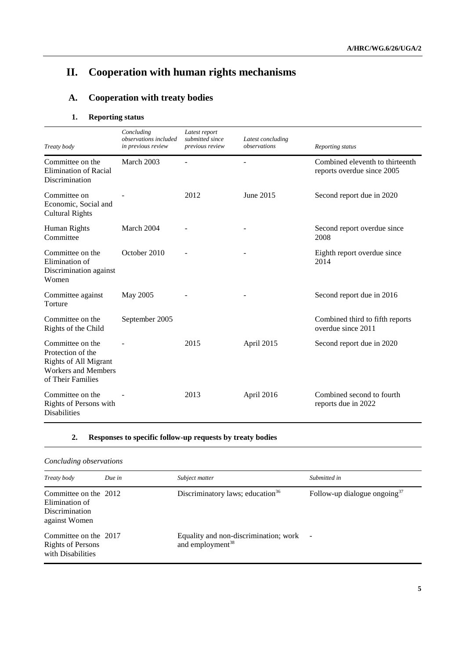# **II. Cooperation with human rights mechanisms**

# **A. Cooperation with treaty bodies**

## **1. Reporting status**

| Treaty body                                                                                                              | Concluding<br>observations included<br>in previous review | Latest report<br>submitted since<br>previous review | Latest concluding<br>observations | Reporting status                                              |
|--------------------------------------------------------------------------------------------------------------------------|-----------------------------------------------------------|-----------------------------------------------------|-----------------------------------|---------------------------------------------------------------|
| Committee on the<br><b>Elimination of Racial</b><br>Discrimination                                                       | March 2003                                                |                                                     |                                   | Combined eleventh to thirteenth<br>reports overdue since 2005 |
| Committee on<br>Economic, Social and<br><b>Cultural Rights</b>                                                           |                                                           | 2012                                                | June 2015                         | Second report due in 2020                                     |
| Human Rights<br>Committee                                                                                                | March 2004                                                |                                                     |                                   | Second report overdue since<br>2008                           |
| Committee on the<br>Elimination of<br>Discrimination against<br>Women                                                    | October 2010                                              |                                                     |                                   | Eighth report overdue since<br>2014                           |
| Committee against<br>Torture                                                                                             | May 2005                                                  |                                                     |                                   | Second report due in 2016                                     |
| Committee on the<br>Rights of the Child                                                                                  | September 2005                                            |                                                     |                                   | Combined third to fifth reports<br>overdue since 2011         |
| Committee on the<br>Protection of the<br><b>Rights of All Migrant</b><br><b>Workers and Members</b><br>of Their Families |                                                           | 2015                                                | April 2015                        | Second report due in 2020                                     |
| Committee on the<br>Rights of Persons with<br><b>Disabilities</b>                                                        |                                                           | 2013                                                | April 2016                        | Combined second to fourth<br>reports due in 2022              |

## **2. Responses to specific follow-up requests by treaty bodies**

## *Concluding observations*

| Treaty body                                                                       | Due in | Subject matter                                                          | Submitted in                    |
|-----------------------------------------------------------------------------------|--------|-------------------------------------------------------------------------|---------------------------------|
| Committee on the 2012<br>Elimination of<br><b>Discrimination</b><br>against Women |        | Discriminatory laws; education <sup>36</sup>                            | Follow-up dialogue ongoing $37$ |
| Committee on the 2017<br><b>Rights of Persons</b><br>with Disabilities            |        | Equality and non-discrimination; work -<br>and employment <sup>38</sup> |                                 |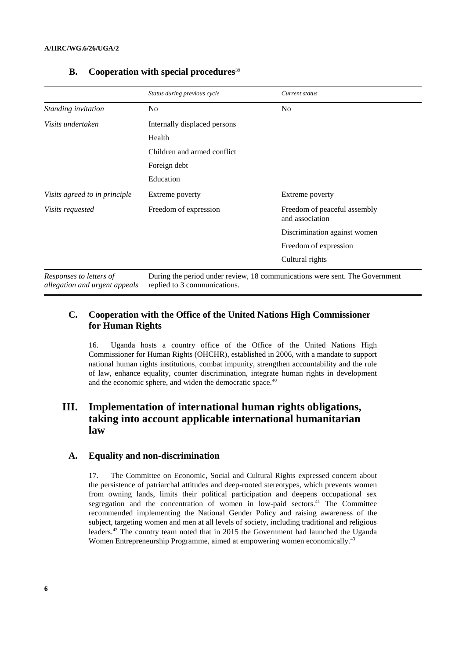|                                                          | Status during previous cycle                                                                                | Current status                                  |  |
|----------------------------------------------------------|-------------------------------------------------------------------------------------------------------------|-------------------------------------------------|--|
| Standing invitation                                      | N <sub>0</sub>                                                                                              | No                                              |  |
| Visits undertaken                                        | Internally displaced persons                                                                                |                                                 |  |
|                                                          | Health                                                                                                      |                                                 |  |
|                                                          | Children and armed conflict                                                                                 |                                                 |  |
|                                                          | Foreign debt                                                                                                |                                                 |  |
|                                                          | Education                                                                                                   |                                                 |  |
| Visits agreed to in principle                            | Extreme poverty                                                                                             | Extreme poverty                                 |  |
| Visits requested                                         | Freedom of expression                                                                                       | Freedom of peaceful assembly<br>and association |  |
|                                                          |                                                                                                             | Discrimination against women                    |  |
|                                                          |                                                                                                             | Freedom of expression                           |  |
|                                                          |                                                                                                             | Cultural rights                                 |  |
| Responses to letters of<br>allegation and urgent appeals | During the period under review, 18 communications were sent. The Government<br>replied to 3 communications. |                                                 |  |

#### **B. Cooperation with special procedures**<sup>39</sup>

## **C. Cooperation with the Office of the United Nations High Commissioner for Human Rights**

16. Uganda hosts a country office of the Office of the United Nations High Commissioner for Human Rights (OHCHR), established in 2006, with a mandate to support national human rights institutions, combat impunity, strengthen accountability and the rule of law, enhance equality, counter discrimination, integrate human rights in development and the economic sphere, and widen the democratic space.<sup>40</sup>

## **III. Implementation of international human rights obligations, taking into account applicable international humanitarian law**

#### **A. Equality and non-discrimination**

17. The Committee on Economic, Social and Cultural Rights expressed concern about the persistence of patriarchal attitudes and deep-rooted stereotypes, which prevents women from owning lands, limits their political participation and deepens occupational sex segregation and the concentration of women in low-paid sectors.<sup>41</sup> The Committee recommended implementing the National Gender Policy and raising awareness of the subject, targeting women and men at all levels of society, including traditional and religious leaders.<sup>42</sup> The country team noted that in 2015 the Government had launched the Uganda Women Entrepreneurship Programme, aimed at empowering women economically.<sup>43</sup>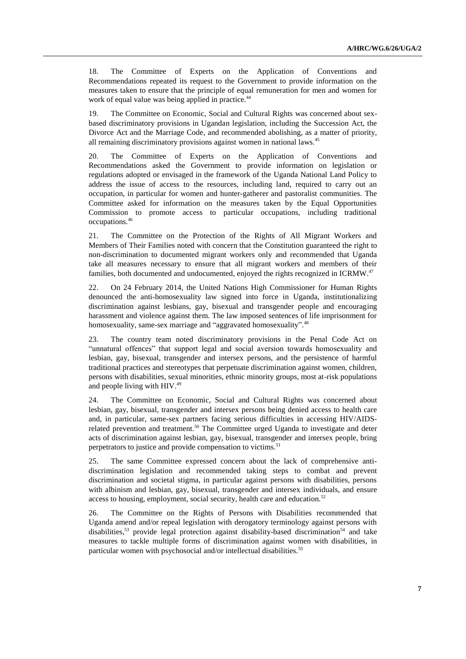18. The Committee of Experts on the Application of Conventions and Recommendations repeated its request to the Government to provide information on the measures taken to ensure that the principle of equal remuneration for men and women for work of equal value was being applied in practice.<sup>44</sup>

19. The Committee on Economic, Social and Cultural Rights was concerned about sexbased discriminatory provisions in Ugandan legislation, including the Succession Act, the Divorce Act and the Marriage Code, and recommended abolishing, as a matter of priority, all remaining discriminatory provisions against women in national laws.<sup>45</sup>

20. The Committee of Experts on the Application of Conventions and Recommendations asked the Government to provide information on legislation or regulations adopted or envisaged in the framework of the Uganda National Land Policy to address the issue of access to the resources, including land, required to carry out an occupation, in particular for women and hunter-gatherer and pastoralist communities. The Committee asked for information on the measures taken by the Equal Opportunities Commission to promote access to particular occupations, including traditional occupations.<sup>46</sup>

21. The Committee on the Protection of the Rights of All Migrant Workers and Members of Their Families noted with concern that the Constitution guaranteed the right to non-discrimination to documented migrant workers only and recommended that Uganda take all measures necessary to ensure that all migrant workers and members of their families, both documented and undocumented, enjoyed the rights recognized in ICRMW.<sup>47</sup>

22. On 24 February 2014, the United Nations High Commissioner for Human Rights denounced the anti-homosexuality law signed into force in Uganda, institutionalizing discrimination against lesbians, gay, bisexual and transgender people and encouraging harassment and violence against them. The law imposed sentences of life imprisonment for homosexuality, same-sex marriage and "aggravated homosexuality".<sup>48</sup>

23. The country team noted discriminatory provisions in the Penal Code Act on "unnatural offences" that support legal and social aversion towards homosexuality and lesbian, gay, bisexual, transgender and intersex persons, and the persistence of harmful traditional practices and stereotypes that perpetuate discrimination against women, children, persons with disabilities, sexual minorities, ethnic minority groups, most at-risk populations and people living with HIV. 49

24. The Committee on Economic, Social and Cultural Rights was concerned about lesbian, gay, bisexual, transgender and intersex persons being denied access to health care and, in particular, same-sex partners facing serious difficulties in accessing HIV/AIDSrelated prevention and treatment.<sup>50</sup> The Committee urged Uganda to investigate and deter acts of discrimination against lesbian, gay, bisexual, transgender and intersex people, bring perpetrators to justice and provide compensation to victims.<sup>51</sup>

25. The same Committee expressed concern about the lack of comprehensive antidiscrimination legislation and recommended taking steps to combat and prevent discrimination and societal stigma, in particular against persons with disabilities, persons with albinism and lesbian, gay, bisexual, transgender and intersex individuals, and ensure access to housing, employment, social security, health care and education.<sup>52</sup>

26. The Committee on the Rights of Persons with Disabilities recommended that Uganda amend and/or repeal legislation with derogatory terminology against persons with disabilities,<sup>53</sup> provide legal protection against disability-based discrimination<sup>54</sup> and take measures to tackle multiple forms of discrimination against women with disabilities, in particular women with psychosocial and/or intellectual disabilities.<sup>55</sup>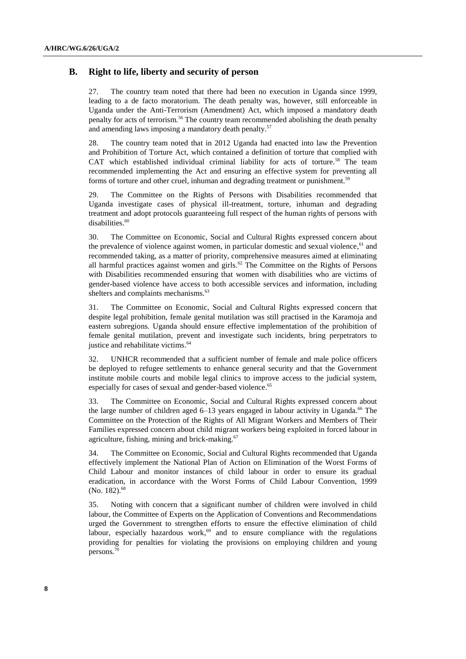#### **B. Right to life, liberty and security of person**

27. The country team noted that there had been no execution in Uganda since 1999, leading to a de facto moratorium. The death penalty was, however, still enforceable in Uganda under the Anti-Terrorism (Amendment) Act, which imposed a mandatory death penalty for acts of terrorism.<sup>56</sup> The country team recommended abolishing the death penalty and amending laws imposing a mandatory death penalty.<sup>57</sup>

28. The country team noted that in 2012 Uganda had enacted into law the Prevention and Prohibition of Torture Act, which contained a definition of torture that complied with CAT which established individual criminal liability for acts of torture.<sup>58</sup> The team recommended implementing the Act and ensuring an effective system for preventing all forms of torture and other cruel, inhuman and degrading treatment or punishment.<sup>59</sup>

29. The Committee on the Rights of Persons with Disabilities recommended that Uganda investigate cases of physical ill-treatment, torture, inhuman and degrading treatment and adopt protocols guaranteeing full respect of the human rights of persons with disabilities.<sup>60</sup>

30. The Committee on Economic, Social and Cultural Rights expressed concern about the prevalence of violence against women, in particular domestic and sexual violence, <sup>61</sup> and recommended taking, as a matter of priority, comprehensive measures aimed at eliminating all harmful practices against women and girls.<sup>62</sup> The Committee on the Rights of Persons with Disabilities recommended ensuring that women with disabilities who are victims of gender-based violence have access to both accessible services and information, including shelters and complaints mechanisms.<sup>63</sup>

31. The Committee on Economic, Social and Cultural Rights expressed concern that despite legal prohibition, female genital mutilation was still practised in the Karamoja and eastern subregions. Uganda should ensure effective implementation of the prohibition of female genital mutilation, prevent and investigate such incidents, bring perpetrators to justice and rehabilitate victims. 64

32. UNHCR recommended that a sufficient number of female and male police officers be deployed to refugee settlements to enhance general security and that the Government institute mobile courts and mobile legal clinics to improve access to the judicial system, especially for cases of sexual and gender-based violence.<sup>65</sup>

33. The Committee on Economic, Social and Cultural Rights expressed concern about the large number of children aged  $6-13$  years engaged in labour activity in Uganda.<sup>66</sup> The Committee on the Protection of the Rights of All Migrant Workers and Members of Their Families expressed concern about child migrant workers being exploited in forced labour in agriculture, fishing, mining and brick-making.<sup>67</sup>

34. The Committee on Economic, Social and Cultural Rights recommended that Uganda effectively implement the National Plan of Action on Elimination of the Worst Forms of Child Labour and monitor instances of child labour in order to ensure its gradual eradication, in accordance with the Worst Forms of Child Labour Convention, 1999 (No. 182).<sup>68</sup>

35. Noting with concern that a significant number of children were involved in child labour, the Committee of Experts on the Application of Conventions and Recommendations urged the Government to strengthen efforts to ensure the effective elimination of child labour, especially hazardous work, $69$  and to ensure compliance with the regulations providing for penalties for violating the provisions on employing children and young persons.<sup>70</sup>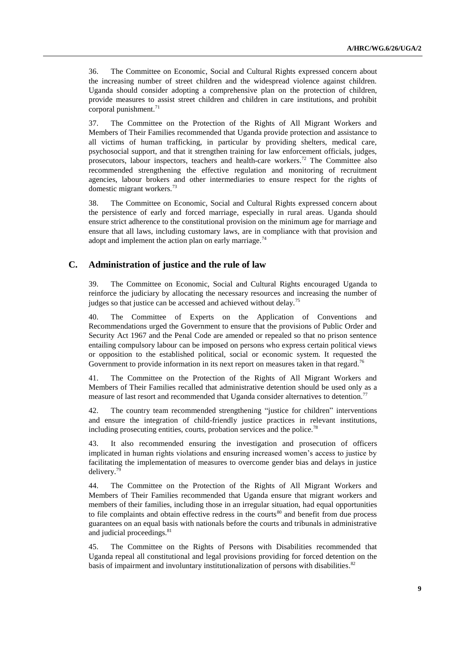36. The Committee on Economic, Social and Cultural Rights expressed concern about the increasing number of street children and the widespread violence against children. Uganda should consider adopting a comprehensive plan on the protection of children, provide measures to assist street children and children in care institutions, and prohibit corporal punishment.<sup>71</sup>

37. The Committee on the Protection of the Rights of All Migrant Workers and Members of Their Families recommended that Uganda provide protection and assistance to all victims of human trafficking, in particular by providing shelters, medical care, psychosocial support, and that it strengthen training for law enforcement officials, judges, prosecutors, labour inspectors, teachers and health-care workers.<sup>72</sup> The Committee also recommended strengthening the effective regulation and monitoring of recruitment agencies, labour brokers and other intermediaries to ensure respect for the rights of domestic migrant workers.<sup>73</sup>

38. The Committee on Economic, Social and Cultural Rights expressed concern about the persistence of early and forced marriage, especially in rural areas. Uganda should ensure strict adherence to the constitutional provision on the minimum age for marriage and ensure that all laws, including customary laws, are in compliance with that provision and adopt and implement the action plan on early marriage. $74$ 

#### **C. Administration of justice and the rule of law**

39. The Committee on Economic, Social and Cultural Rights encouraged Uganda to reinforce the judiciary by allocating the necessary resources and increasing the number of judges so that justice can be accessed and achieved without delay.<sup>75</sup>

40. The Committee of Experts on the Application of Conventions and Recommendations urged the Government to ensure that the provisions of Public Order and Security Act 1967 and the Penal Code are amended or repealed so that no prison sentence entailing compulsory labour can be imposed on persons who express certain political views or opposition to the established political, social or economic system. It requested the Government to provide information in its next report on measures taken in that regard.<sup>76</sup>

41. The Committee on the Protection of the Rights of All Migrant Workers and Members of Their Families recalled that administrative detention should be used only as a measure of last resort and recommended that Uganda consider alternatives to detention.<sup>77</sup>

42. The country team recommended strengthening "justice for children" interventions and ensure the integration of child-friendly justice practices in relevant institutions, including prosecuting entities, courts, probation services and the police.<sup>78</sup>

43. It also recommended ensuring the investigation and prosecution of officers implicated in human rights violations and ensuring increased women's access to justice by facilitating the implementation of measures to overcome gender bias and delays in justice delivery.<sup>79</sup>

44. The Committee on the Protection of the Rights of All Migrant Workers and Members of Their Families recommended that Uganda ensure that migrant workers and members of their families, including those in an irregular situation, had equal opportunities to file complaints and obtain effective redress in the courts<sup>80</sup> and benefit from due process guarantees on an equal basis with nationals before the courts and tribunals in administrative and judicial proceedings.<sup>81</sup>

45. The Committee on the Rights of Persons with Disabilities recommended that Uganda repeal all constitutional and legal provisions providing for forced detention on the basis of impairment and involuntary institutionalization of persons with disabilities.<sup>82</sup>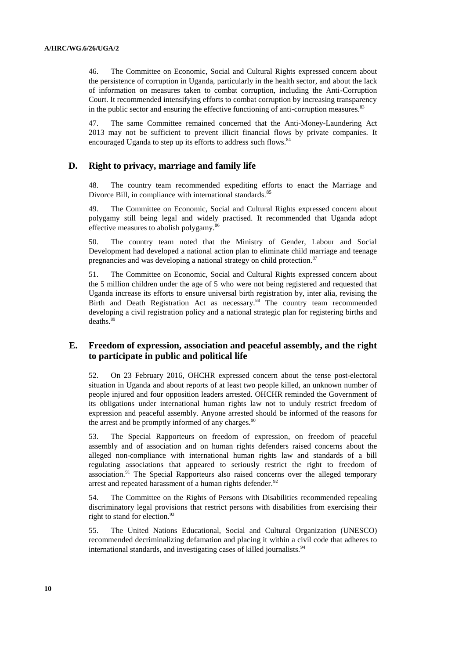46. The Committee on Economic, Social and Cultural Rights expressed concern about the persistence of corruption in Uganda, particularly in the health sector, and about the lack of information on measures taken to combat corruption, including the Anti-Corruption Court. It recommended intensifying efforts to combat corruption by increasing transparency in the public sector and ensuring the effective functioning of anti-corruption measures.<sup>83</sup>

47. The same Committee remained concerned that the Anti-Money-Laundering Act 2013 may not be sufficient to prevent illicit financial flows by private companies. It encouraged Uganda to step up its efforts to address such flows.<sup>84</sup>

#### **D. Right to privacy, marriage and family life**

48. The country team recommended expediting efforts to enact the Marriage and Divorce Bill, in compliance with international standards.<sup>85</sup>

49. The Committee on Economic, Social and Cultural Rights expressed concern about polygamy still being legal and widely practised. It recommended that Uganda adopt effective measures to abolish polygamy.<sup>86</sup>

50. The country team noted that the Ministry of Gender, Labour and Social Development had developed a national action plan to eliminate child marriage and teenage pregnancies and was developing a national strategy on child protection.<sup>87</sup>

51. The Committee on Economic, Social and Cultural Rights expressed concern about the 5 million children under the age of 5 who were not being registered and requested that Uganda increase its efforts to ensure universal birth registration by, inter alia, revising the Birth and Death Registration Act as necessary.<sup>88</sup> The country team recommended developing a civil registration policy and a national strategic plan for registering births and deaths. 89

#### **E. Freedom of expression, association and peaceful assembly, and the right to participate in public and political life**

52. On 23 February 2016, OHCHR expressed concern about the tense post-electoral situation in Uganda and about reports of at least two people killed, an unknown number of people injured and four opposition leaders arrested. OHCHR reminded the Government of its obligations under international human rights law not to unduly restrict freedom of expression and peaceful assembly. Anyone arrested should be informed of the reasons for the arrest and be promptly informed of any charges. $90$ 

53. The Special Rapporteurs on freedom of expression, on freedom of peaceful assembly and of association and on human rights defenders raised concerns about the alleged non-compliance with international human rights law and standards of a bill regulating associations that appeared to seriously restrict the right to freedom of association.<sup>91</sup> The Special Rapporteurs also raised concerns over the alleged temporary arrest and repeated harassment of a human rights defender. $92$ 

54. The Committee on the Rights of Persons with Disabilities recommended repealing discriminatory legal provisions that restrict persons with disabilities from exercising their right to stand for election. $93$ 

55. The United Nations Educational, Social and Cultural Organization (UNESCO) recommended decriminalizing defamation and placing it within a civil code that adheres to international standards, and investigating cases of killed journalists.<sup>94</sup>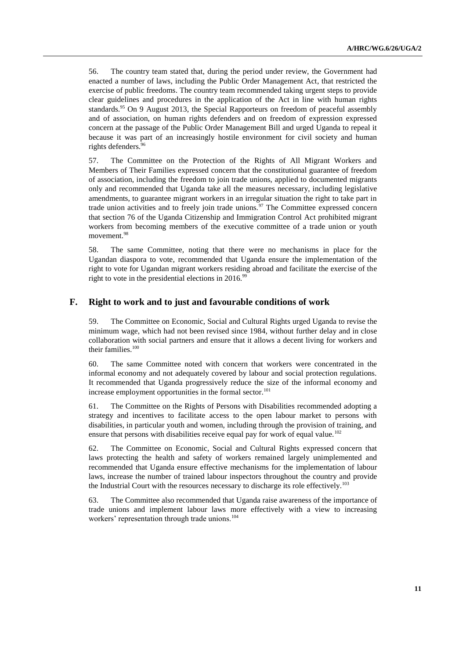56. The country team stated that, during the period under review, the Government had enacted a number of laws, including the Public Order Management Act, that restricted the exercise of public freedoms. The country team recommended taking urgent steps to provide clear guidelines and procedures in the application of the Act in line with human rights standards.<sup>95</sup> On 9 August 2013, the Special Rapporteurs on freedom of peaceful assembly and of association, on human rights defenders and on freedom of expression expressed concern at the passage of the Public Order Management Bill and urged Uganda to repeal it because it was part of an increasingly hostile environment for civil society and human rights defenders.<sup>96</sup>

57. The Committee on the Protection of the Rights of All Migrant Workers and Members of Their Families expressed concern that the constitutional guarantee of freedom of association, including the freedom to join trade unions, applied to documented migrants only and recommended that Uganda take all the measures necessary, including legislative amendments, to guarantee migrant workers in an irregular situation the right to take part in trade union activities and to freely join trade unions.<sup>97</sup> The Committee expressed concern that section 76 of the Uganda Citizenship and Immigration Control Act prohibited migrant workers from becoming members of the executive committee of a trade union or youth movement.<sup>98</sup>

58. The same Committee, noting that there were no mechanisms in place for the Ugandan diaspora to vote, recommended that Uganda ensure the implementation of the right to vote for Ugandan migrant workers residing abroad and facilitate the exercise of the right to vote in the presidential elections in  $2016$ .<sup>99</sup>

#### **F. Right to work and to just and favourable conditions of work**

59. The Committee on Economic, Social and Cultural Rights urged Uganda to revise the minimum wage, which had not been revised since 1984, without further delay and in close collaboration with social partners and ensure that it allows a decent living for workers and their families.<sup>100</sup>

60. The same Committee noted with concern that workers were concentrated in the informal economy and not adequately covered by labour and social protection regulations. It recommended that Uganda progressively reduce the size of the informal economy and increase employment opportunities in the formal sector. 101

61. The Committee on the Rights of Persons with Disabilities recommended adopting a strategy and incentives to facilitate access to the open labour market to persons with disabilities, in particular youth and women, including through the provision of training, and ensure that persons with disabilities receive equal pay for work of equal value.<sup>102</sup>

62. The Committee on Economic, Social and Cultural Rights expressed concern that laws protecting the health and safety of workers remained largely unimplemented and recommended that Uganda ensure effective mechanisms for the implementation of labour laws, increase the number of trained labour inspectors throughout the country and provide the Industrial Court with the resources necessary to discharge its role effectively.<sup>103</sup>

63. The Committee also recommended that Uganda raise awareness of the importance of trade unions and implement labour laws more effectively with a view to increasing workers' representation through trade unions.<sup>104</sup>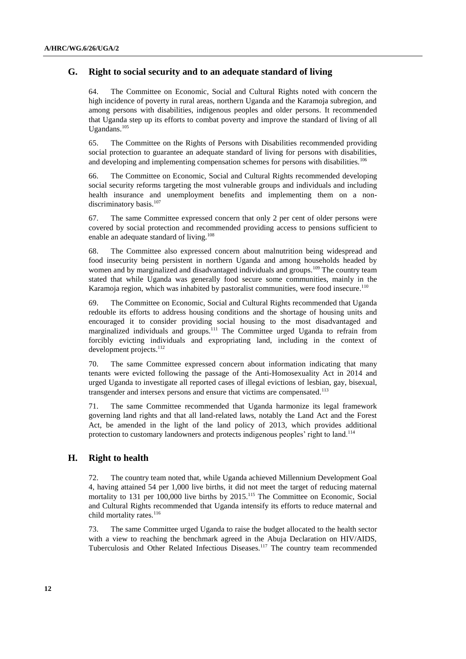#### **G. Right to social security and to an adequate standard of living**

64. The Committee on Economic, Social and Cultural Rights noted with concern the high incidence of poverty in rural areas, northern Uganda and the Karamoja subregion, and among persons with disabilities, indigenous peoples and older persons. It recommended that Uganda step up its efforts to combat poverty and improve the standard of living of all Ugandans.<sup>105</sup>

65. The Committee on the Rights of Persons with Disabilities recommended providing social protection to guarantee an adequate standard of living for persons with disabilities, and developing and implementing compensation schemes for persons with disabilities.<sup>106</sup>

66. The Committee on Economic, Social and Cultural Rights recommended developing social security reforms targeting the most vulnerable groups and individuals and including health insurance and unemployment benefits and implementing them on a nondiscriminatory basis.<sup>107</sup>

67. The same Committee expressed concern that only 2 per cent of older persons were covered by social protection and recommended providing access to pensions sufficient to enable an adequate standard of living.<sup>108</sup>

68. The Committee also expressed concern about malnutrition being widespread and food insecurity being persistent in northern Uganda and among households headed by women and by marginalized and disadvantaged individuals and groups.<sup>109</sup> The country team stated that while Uganda was generally food secure some communities, mainly in the Karamoja region, which was inhabited by pastoralist communities, were food insecure.<sup>110</sup>

69. The Committee on Economic, Social and Cultural Rights recommended that Uganda redouble its efforts to address housing conditions and the shortage of housing units and encouraged it to consider providing social housing to the most disadvantaged and marginalized individuals and groups.<sup>111</sup> The Committee urged Uganda to refrain from forcibly evicting individuals and expropriating land, including in the context of development projects. $^{112}$ 

70. The same Committee expressed concern about information indicating that many tenants were evicted following the passage of the Anti-Homosexuality Act in 2014 and urged Uganda to investigate all reported cases of illegal evictions of lesbian, gay, bisexual, transgender and intersex persons and ensure that victims are compensated.<sup>113</sup>

71. The same Committee recommended that Uganda harmonize its legal framework governing land rights and that all land-related laws, notably the Land Act and the Forest Act, be amended in the light of the land policy of 2013, which provides additional protection to customary landowners and protects indigenous peoples' right to land.<sup>114</sup>

#### **H. Right to health**

72. The country team noted that, while Uganda achieved Millennium Development Goal 4, having attained 54 per 1,000 live births, it did not meet the target of reducing maternal mortality to 131 per 100,000 live births by 2015.<sup>115</sup> The Committee on Economic, Social and Cultural Rights recommended that Uganda intensify its efforts to reduce maternal and child mortality rates.<sup>116</sup>

73. The same Committee urged Uganda to raise the budget allocated to the health sector with a view to reaching the benchmark agreed in the Abuja Declaration on HIV/AIDS, Tuberculosis and Other Related Infectious Diseases.<sup>117</sup> The country team recommended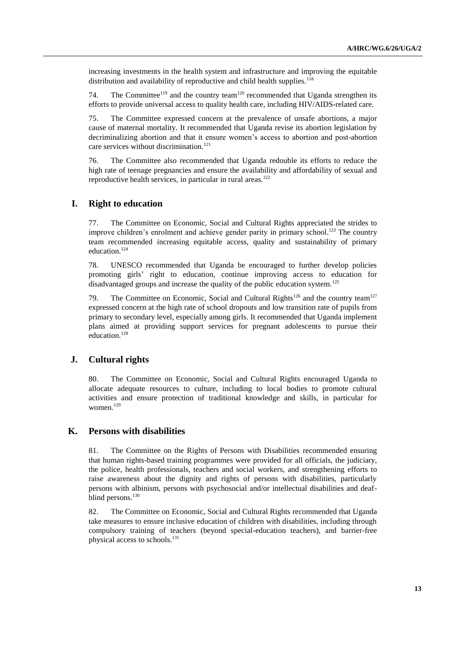increasing investments in the health system and infrastructure and improving the equitable distribution and availability of reproductive and child health supplies.<sup>118</sup>

74. The Committee<sup>119</sup> and the country team<sup>120</sup> recommended that Uganda strengthen its efforts to provide universal access to quality health care, including HIV/AIDS-related care.

75. The Committee expressed concern at the prevalence of unsafe abortions, a major cause of maternal mortality. It recommended that Uganda revise its abortion legislation by decriminalizing abortion and that it ensure women's access to abortion and post-abortion care services without discrimination.<sup>121</sup>

76. The Committee also recommended that Uganda redouble its efforts to reduce the high rate of teenage pregnancies and ensure the availability and affordability of sexual and reproductive health services, in particular in rural areas. $122$ 

#### **I. Right to education**

77. The Committee on Economic, Social and Cultural Rights appreciated the strides to improve children's enrolment and achieve gender parity in primary school.<sup>123</sup> The country team recommended increasing equitable access, quality and sustainability of primary education.<sup>124</sup>

78. UNESCO recommended that Uganda be encouraged to further develop policies promoting girls' right to education, continue improving access to education for disadvantaged groups and increase the quality of the public education system.<sup>125</sup>

79. The Committee on Economic, Social and Cultural Rights<sup>126</sup> and the country team<sup>127</sup> expressed concern at the high rate of school dropouts and low transition rate of pupils from primary to secondary level, especially among girls. It recommended that Uganda implement plans aimed at providing support services for pregnant adolescents to pursue their education.<sup>128</sup>

#### **J. Cultural rights**

80. The Committee on Economic, Social and Cultural Rights encouraged Uganda to allocate adequate resources to culture, including to local bodies to promote cultural activities and ensure protection of traditional knowledge and skills, in particular for women.<sup>129</sup>

#### **K. Persons with disabilities**

81. The Committee on the Rights of Persons with Disabilities recommended ensuring that human rights-based training programmes were provided for all officials, the judiciary, the police, health professionals, teachers and social workers, and strengthening efforts to raise awareness about the dignity and rights of persons with disabilities, particularly persons with albinism, persons with psychosocial and/or intellectual disabilities and deafblind persons. 130

82. The Committee on Economic, Social and Cultural Rights recommended that Uganda take measures to ensure inclusive education of children with disabilities, including through compulsory training of teachers (beyond special-education teachers), and barrier-free physical access to schools.<sup>131</sup>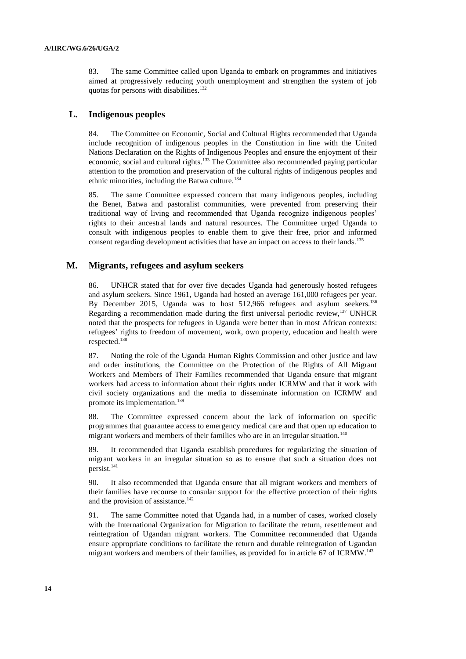83. The same Committee called upon Uganda to embark on programmes and initiatives aimed at progressively reducing youth unemployment and strengthen the system of job quotas for persons with disabilities.<sup>132</sup>

#### **L. Indigenous peoples**

84. The Committee on Economic, Social and Cultural Rights recommended that Uganda include recognition of indigenous peoples in the Constitution in line with the United Nations Declaration on the Rights of Indigenous Peoples and ensure the enjoyment of their economic, social and cultural rights.<sup>133</sup> The Committee also recommended paying particular attention to the promotion and preservation of the cultural rights of indigenous peoples and ethnic minorities, including the Batwa culture.<sup>134</sup>

85. The same Committee expressed concern that many indigenous peoples, including the Benet, Batwa and pastoralist communities, were prevented from preserving their traditional way of living and recommended that Uganda recognize indigenous peoples' rights to their ancestral lands and natural resources. The Committee urged Uganda to consult with indigenous peoples to enable them to give their free, prior and informed consent regarding development activities that have an impact on access to their lands.<sup>135</sup>

#### **M. Migrants, refugees and asylum seekers**

86. UNHCR stated that for over five decades Uganda had generously hosted refugees and asylum seekers. Since 1961, Uganda had hosted an average 161,000 refugees per year. By December 2015, Uganda was to host 512,966 refugees and asylum seekers.<sup>136</sup> Regarding a recommendation made during the first universal periodic review,<sup>137</sup> UNHCR noted that the prospects for refugees in Uganda were better than in most African contexts: refugees' rights to freedom of movement, work, own property, education and health were respected. 138

87. Noting the role of the Uganda Human Rights Commission and other justice and law and order institutions, the Committee on the Protection of the Rights of All Migrant Workers and Members of Their Families recommended that Uganda ensure that migrant workers had access to information about their rights under ICRMW and that it work with civil society organizations and the media to disseminate information on ICRMW and promote its implementation.<sup>139</sup>

88. The Committee expressed concern about the lack of information on specific programmes that guarantee access to emergency medical care and that open up education to migrant workers and members of their families who are in an irregular situation.<sup>140</sup>

89. It recommended that Uganda establish procedures for regularizing the situation of migrant workers in an irregular situation so as to ensure that such a situation does not persist.<sup>141</sup>

90. It also recommended that Uganda ensure that all migrant workers and members of their families have recourse to consular support for the effective protection of their rights and the provision of assistance.<sup>142</sup>

91. The same Committee noted that Uganda had, in a number of cases, worked closely with the International Organization for Migration to facilitate the return, resettlement and reintegration of Ugandan migrant workers. The Committee recommended that Uganda ensure appropriate conditions to facilitate the return and durable reintegration of Ugandan migrant workers and members of their families, as provided for in article 67 of ICRMW. 143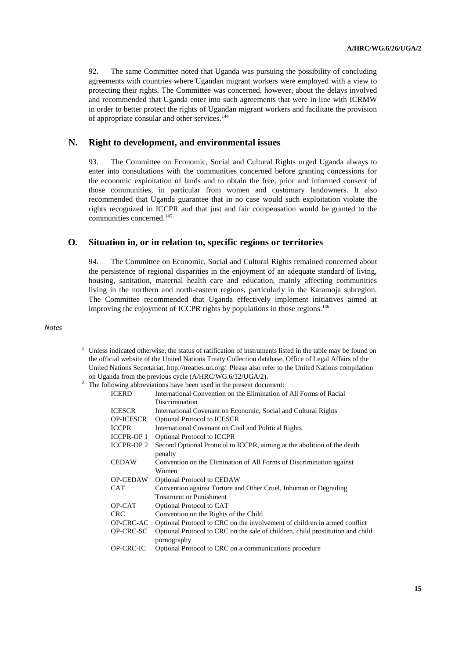92. The same Committee noted that Uganda was pursuing the possibility of concluding agreements with countries where Ugandan migrant workers were employed with a view to protecting their rights. The Committee was concerned, however, about the delays involved and recommended that Uganda enter into such agreements that were in line with ICRMW in order to better protect the rights of Ugandan migrant workers and facilitate the provision of appropriate consular and other services.<sup>144</sup>

#### **N. Right to development, and environmental issues**

93. The Committee on Economic, Social and Cultural Rights urged Uganda always to enter into consultations with the communities concerned before granting concessions for the economic exploitation of lands and to obtain the free, prior and informed consent of those communities, in particular from women and customary landowners. It also recommended that Uganda guarantee that in no case would such exploitation violate the rights recognized in ICCPR and that just and fair compensation would be granted to the communities concerned.<sup>145</sup>

#### **O. Situation in, or in relation to, specific regions or territories**

94. The Committee on Economic, Social and Cultural Rights remained concerned about the persistence of regional disparities in the enjoyment of an adequate standard of living, housing, sanitation, maternal health care and education, mainly affecting communities living in the northern and north-eastern regions, particularly in the Karamoja subregion. The Committee recommended that Uganda effectively implement initiatives aimed at improving the enjoyment of ICCPR rights by populations in those regions. 146

#### *Notes*

<sup>1</sup> Unless indicated otherwise, the status of ratification of instruments listed in the table may be found on the official website of the United Nations Treaty Collection database, Office of Legal Affairs of the United Nations Secretariat, [http://treaties.un.org/.](http://treaties.un.org/) Please also refer to the United Nations compilation on Uganda from the previous cycle (A/HRC/WG.6/12/UGA/2).

| <b>ICERD</b>      | International Convention on the Elimination of All Forms of Racial             |
|-------------------|--------------------------------------------------------------------------------|
|                   | Discrimination                                                                 |
| <b>ICESCR</b>     | International Covenant on Economic, Social and Cultural Rights                 |
| <b>OP-ICESCR</b>  | <b>Optional Protocol to ICESCR</b>                                             |
| <b>ICCPR</b>      | International Covenant on Civil and Political Rights                           |
| <b>ICCPR-OP 1</b> | <b>Optional Protocol to ICCPR</b>                                              |
| <b>ICCPR-OP2</b>  | Second Optional Protocol to ICCPR, aiming at the abolition of the death        |
|                   | penalty                                                                        |
| <b>CEDAW</b>      | Convention on the Elimination of All Forms of Discrimination against           |
|                   | Women                                                                          |
| <b>OP-CEDAW</b>   | <b>Optional Protocol to CEDAW</b>                                              |
| <b>CAT</b>        | Convention against Torture and Other Cruel, Inhuman or Degrading               |
|                   | <b>Treatment or Punishment</b>                                                 |
| OP-CAT            | Optional Protocol to CAT                                                       |
| <b>CRC</b>        | Convention on the Rights of the Child                                          |
| <b>OP-CRC-AC</b>  | Optional Protocol to CRC on the involvement of children in armed conflict      |
| OP-CRC-SC         | Optional Protocol to CRC on the sale of children, child prostitution and child |
|                   | pornography                                                                    |
| OP-CRC-IC         | Optional Protocol to CRC on a communications procedure                         |
|                   |                                                                                |

<sup>&</sup>lt;sup>2</sup> The following abbreviations have been used in the present document: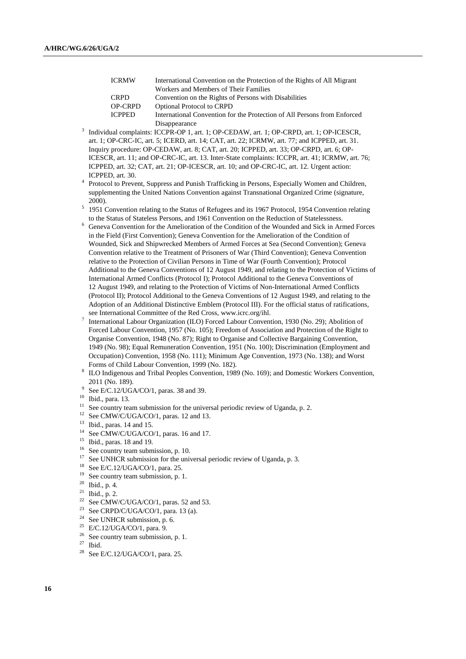| <b>ICRMW</b>   | International Convention on the Protection of the Rights of All Migrant  |
|----------------|--------------------------------------------------------------------------|
|                | Workers and Members of Their Families                                    |
| <b>CRPD</b>    | Convention on the Rights of Persons with Disabilities                    |
| <b>OP-CRPD</b> | <b>Optional Protocol to CRPD</b>                                         |
| <b>ICPPED</b>  | International Convention for the Protection of All Persons from Enforced |
|                | Disappearance                                                            |

- <sup>3</sup> Individual complaints: ICCPR-OP 1, art. 1; OP-CEDAW, art. 1; OP-CRPD, art. 1; OP-ICESCR, art. 1; OP-CRC-IC, art. 5; ICERD, art. 14; CAT, art. 22; ICRMW, art. 77; and ICPPED, art. 31. Inquiry procedure: OP-CEDAW, art. 8; CAT, art. 20; ICPPED, art. 33; OP-CRPD, art. 6; OP-ICESCR, art. 11; and OP-CRC-IC, art. 13. Inter-State complaints: ICCPR, art. 41; ICRMW, art. 76; ICPPED, art. 32; CAT, art. 21; OP-ICESCR, art. 10; and OP-CRC-IC, art. 12. Urgent action: ICPPED, art. 30.
- <sup>4</sup> Protocol to Prevent, Suppress and Punish Trafficking in Persons, Especially Women and Children, supplementing the United Nations Convention against Transnational Organized Crime (signature, 2000).
- <sup>5</sup> 1951 Convention relating to the Status of Refugees and its 1967 Protocol, 1954 Convention relating to the Status of Stateless Persons, and 1961 Convention on the Reduction of Statelessness.
- <sup>6</sup> Geneva Convention for the Amelioration of the Condition of the Wounded and Sick in Armed Forces in the Field (First Convention); Geneva Convention for the Amelioration of the Condition of Wounded, Sick and Shipwrecked Members of Armed Forces at Sea (Second Convention); Geneva Convention relative to the Treatment of Prisoners of War (Third Convention); Geneva Convention relative to the Protection of Civilian Persons in Time of War (Fourth Convention); Protocol Additional to the Geneva Conventions of 12 August 1949, and relating to the Protection of Victims of International Armed Conflicts (Protocol I); Protocol Additional to the Geneva Conventions of 12 August 1949, and relating to the Protection of Victims of Non-International Armed Conflicts (Protocol II); Protocol Additional to the Geneva Conventions of 12 August 1949, and relating to the Adoption of an Additional Distinctive Emblem (Protocol III). For the official status of ratifications, see International Committee of the Red Cross, www.icrc.org/ihl.
- 7 International Labour Organization (ILO) Forced Labour Convention, 1930 (No. 29); Abolition of Forced Labour Convention, 1957 (No. 105); Freedom of Association and Protection of the Right to Organise Convention, 1948 (No. 87); Right to Organise and Collective Bargaining Convention, 1949 (No. 98); Equal Remuneration Convention, 1951 (No. 100); Discrimination (Employment and Occupation) Convention, 1958 (No. 111); Minimum Age Convention, 1973 (No. 138); and Worst Forms of Child Labour Convention, 1999 (No. 182).
- 8 ILO Indigenous and Tribal Peoples Convention, 1989 (No. 169); and Domestic Workers Convention, 2011 (No. 189).
- 9 See E/C.12/UGA/CO/1, paras. 38 and 39.
- <sup>10</sup> Ibid., para. 13.
- <sup>11</sup> See country team submission for the universal periodic review of Uganda, p. 2.
- <sup>12</sup> See CMW/C/UGA/CO/1, paras. 12 and 13.
- $13$  Ibid., paras. 14 and 15.
- <sup>14</sup> See CMW/C/UGA/CO/1, paras. 16 and 17.
- <sup>15</sup> Ibid., paras. 18 and 19.
- <sup>16</sup> See country team submission, p. 10.<br><sup>17</sup> See UNIJCP submission for the unit
- <sup>17</sup> See UNHCR submission for the universal periodic review of Uganda, p. 3.<br><sup>18</sup> See E/C 12/UCA/CO/1 norm 25
- <sup>18</sup> See E/C.12/UGA/CO/1, para. 25.
- <sup>19</sup> See country team submission, p. 1.<br><sup>20</sup> Jbid, p. 4
- $^{20}$  Ibid., p. 4.<br><sup>21</sup> Ibid. p. 2.
- <sup>21</sup> Ibid., p. 2.<br><sup>22</sup> See CMW
- <sup>22</sup> See CMW/C/UGA/CO/1, paras. 52 and 53.<br><sup>23</sup> See CBBD/C/UGA/CO/1, paras. 12 (c)
- <sup>23</sup> See CRPD/C/UGA/CO/1, para. 13 (a).<br><sup>24</sup> See UNUCP submission  $\sigma$  6
- <sup>24</sup> See UNHCR submission, p. 6.<br><sup>25</sup> E/C 12/HGA/CO/1 para 9
- <sup>25</sup> E/C.12/UGA/CO/1, para. 9.
- <sup>26</sup> See country team submission, p. 1.<br><sup>27</sup> Thirt
- $\frac{27}{28}$  Ibid.
- See E/C.12/UGA/CO/1, para. 25.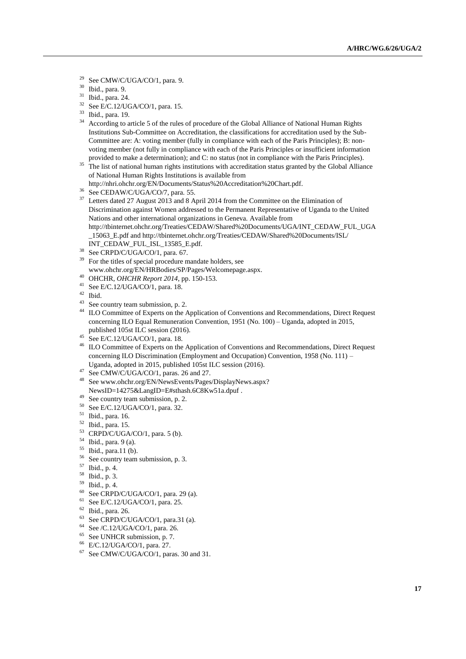- <sup>29</sup> See CMW/C/UGA/CO/1, para. 9.<br><sup>30</sup> Ibid. para. 9.
- $30$  Ibid., para. 9.<br> $31$  Ibid., para. 24
- $^{31}$  Ibid., para. 24.
- $^{32}$  See E/C.12/UGA/CO/1, para. 15.<br> $^{33}$  Bijl ages 10
- $\frac{33}{34}$  Ibid., para. 19.
- <sup>34</sup> According to article 5 of the rules of procedure of the Global Alliance of National Human Rights Institutions Sub-Committee on Accreditation, the classifications for accreditation used by the Sub-Committee are: A: voting member (fully in compliance with each of the Paris Principles); B: nonvoting member (not fully in compliance with each of the Paris Principles or insufficient information provided to make a determination); and C: no status (not in compliance with the Paris Principles).
- <sup>35</sup> The list of national human rights institutions with accreditation status granted by the Global Alliance of National Human Rights Institutions is available from
- http://nhri.ohchr.org/EN/Documents/Status%20Accreditation%20Chart.pdf.
- <sup>36</sup> See CEDAW/C/UGA/CO/7, para. 55.
- <sup>37</sup> Letters dated 27 August 2013 and 8 April 2014 from the Committee on the Elimination of Discrimination against Women addressed to the Permanent Representative of Uganda to the United Nations and other international organizations in Geneva. Available from [http://tbinternet.ohchr.org/Treaties/CEDAW/Shared%20Documents/UGA/INT\\_CEDAW\\_FUL\\_UGA](http://tbinternet.ohchr.org/Treaties/CEDAW/Shared%20Documents/UGA/INT_CEDAW_FUL_UGA_15063_E.pdf) [\\_15063\\_E.pdf](http://tbinternet.ohchr.org/Treaties/CEDAW/Shared%20Documents/UGA/INT_CEDAW_FUL_UGA_15063_E.pdf) and http://tbinternet.ohchr.org/Treaties/CEDAW/Shared%20Documents/ISL/ INT\_CEDAW\_FUL\_ISL\_13585\_E.pdf.
- <sup>38</sup> See CRPD/C/UGA/CO/1, para. 67.
- For the titles of special procedure mandate holders, see www.ohchr.org/EN/HRBodies/SP/Pages/Welcomepage.aspx.
- <sup>40</sup> OHCHR, *OHCHR Report 2014*, pp. 150-153.
- <sup>41</sup> See E/C.12/UGA/CO/1, para. 18.
- $\frac{42}{43}$  Ibid.
- <sup>43</sup> See country team submission, p. 2.<br><sup>44</sup> H O Committee of Eurents on the  $\ell$
- ILO Committee of Experts on the Application of Conventions and Recommendations, Direct Request concerning ILO Equal Remuneration Convention, 1951 (No. 100) – Uganda, adopted in 2015, published 105st ILC session (2016).
- $45$  See E/C.12/UGA/CO/1, para. 18.
- <sup>46</sup> ILO Committee of Experts on the Application of Conventions and Recommendations, Direct Request concerning ILO Discrimination (Employment and Occupation) Convention, 1958 (No. 111) – Uganda, adopted in 2015, published 105st ILC session (2016).
- <sup>47</sup> See CMW/C/UGA/CO/1, paras. 26 and 27.
- Se[e www.ohchr.org/EN/NewsEvents/Pages/DisplayNews.aspx?](http://www.ohchr.org/EN/NewsEvents/Pages/DisplayNews.aspx) NewsID=14275&LangID=E#sthash.6C8Kw51a.dpuf .
- <sup>49</sup> See country team submission, p. 2.
- <sup>50</sup> See E/C.12/UGA/CO/1, para. 32.
- <sup>51</sup> Ibid., para. 16.
- <sup>52</sup> Ibid., para. 15.
- <sup>53</sup> CRPD/C/UGA/CO/1, para. 5 (b).
- <sup>54</sup> Ibid., para. 9 (a).
- $^{55}$  Ibid., para.11 (b).
- <sup>56</sup> See country team submission, p. 3.<br> $^{57}$  Third, p. 4.
- <sup>57</sup> Ibid., p. 4.
- $^{58}$  Ibid., p. 3.<br> $^{59}$  Ibid. p. 4.
- $^{59}$  Ibid., p. 4.<br><sup>60</sup> See CRPD
- <sup>60</sup> See CRPD/C/UGA/CO/1, para. 29 (a).<br><sup>61</sup> See E/C 12/UGA/CO/1, para. 25
- <sup>61</sup> See E/C.12/UGA/CO/1, para. 25.
- $^{62}$  Ibid., para. 26.<br> $^{63}$  See CPPD/C/I
- <sup>63</sup> See CRPD/C/UGA/CO/1, para.31 (a).<br><sup>64</sup> See *C* 12/UGA/CO/1, para.26
- 64 See /C.12/UGA/CO/1, para. 26.
- <sup>65</sup> See UNHCR submission, p. 7.<br><sup>66</sup> E/C 12/UGA/CO/1 para 27
- E/C.12/UGA/CO/1, para. 27.
- <sup>67</sup> See CMW/C/UGA/CO/1, paras. 30 and 31.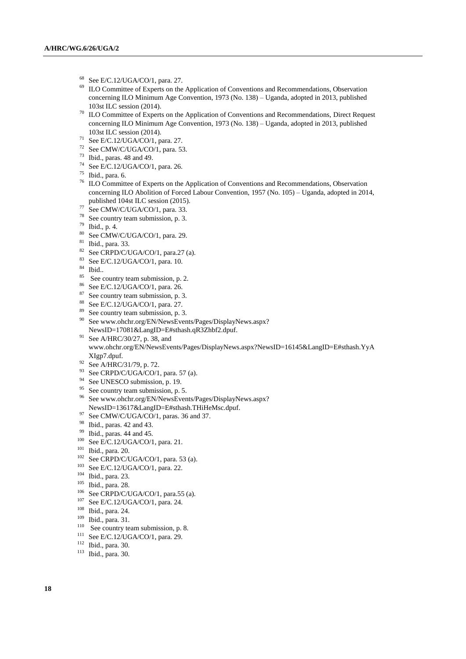- <sup>68</sup> See E/C.12/UGA/CO/1, para. 27.
- ILO Committee of Experts on the Application of Conventions and Recommendations, Observation concerning ILO Minimum Age Convention, 1973 (No. 138) – Uganda, adopted in 2013, published 103st ILC session (2014).
- <sup>70</sup> ILO Committee of Experts on the Application of Conventions and Recommendations, Direct Request concerning ILO Minimum Age Convention, 1973 (No. 138) – Uganda, adopted in 2013, published 103st ILC session (2014).
- <sup>71</sup> See E/C.12/UGA/CO/1, para. 27.
- <sup>72</sup> See CMW/C/UGA/CO/1, para. 53.
- <sup>73</sup> Ibid., paras. 48 and 49.
- <sup>74</sup> See E/C.12/UGA/CO/1, para. 26.
- $75$  Ibid., para. 6.
- <sup>76</sup> ILO Committee of Experts on the Application of Conventions and Recommendations, Observation concerning ILO Abolition of Forced Labour Convention, 1957 (No. 105) – Uganda, adopted in 2014, published 104st ILC session (2015).
- $77$  See CMW/C/UGA/CO/1, para. 33.
- <sup>78</sup> See country team submission, p. 3.
- <sup>79</sup> Ibid., p. 4.
- <sup>80</sup> See CMW/C/UGA/CO/1, para. 29.
- $\frac{81}{82}$  Ibid., para. 33.
- <sup>82</sup> See CRPD/C/UGA/CO/1, para.27 (a).<br><sup>83</sup> See E/C 12/UGA/CO/1, para.10
- See E/C.12/UGA/CO/1, para. 10.
- $\frac{84}{85}$  Ibid..
- <sup>85</sup> See country team submission, p. 2.<br><sup>86</sup> See E/C 12/LC A/CO/1, page 26
- See E/C.12/UGA/CO/1, para. 26.
- <sup>87</sup> See country team submission, p. 3.<br><sup>88</sup> See E/C 12/LC A/CO/1, pers. 27.
- <sup>88</sup> See E/C.12/UGA/CO/1, para. 27.
- <sup>89</sup> See country team submission, p. 3.<br><sup>90</sup> See www.obchr.org/EN/NewsEyer
- See www.ohchr.org/EN/NewsEvents/Pages/DisplayNews.aspx? NewsID=17081&LangID=E#sthash.qR3Zhbf2.dpuf.
- <sup>91</sup> See A/HRC/30/27, p. 38, and www.ohchr.org/EN/NewsEvents/Pages/DisplayNews.aspx?NewsID=16145&LangID=E#sthash.YyA
- XIgp7.dpuf.
- 92 See A/HRC/31/79, p. 72.
- $93$  See CRPD/C/UGA/CO/1, para. 57 (a).
- <sup>94</sup> See UNESCO submission, p. 19.
- <sup>95</sup> See country team submission, p. 5.
- <sup>96</sup> See www.ohchr.org/EN/NewsEvents/Pages/DisplayNews.aspx? NewsID=13617&LangID=E#sthash.THiHeMsc.dpuf.
- <sup>97</sup> See CMW/C/UGA/CO/1, paras. 36 and 37.
- <sup>98</sup> Ibid., paras. 42 and 43.
- <sup>99</sup> Ibid., paras. 44 and 45.
- <sup>100</sup> See E/C.12/UGA/CO/1, para. 21.
- <sup>101</sup> Ibid., para. 20.
- $102$  See CRPD/C/UGA/CO/1, para. 53 (a).
- <sup>103</sup> See E/C.12/UGA/CO/1, para. 22.
- <sup>104</sup> Ibid., para. 23.
- $^{105}$  Ibid., para. 28.
- See CRPD/C/UGA/CO/1, para.55 (a).
- <sup>107</sup> See E/C.12/UGA/CO/1, para. 24.
- <sup>108</sup> Ibid., para. 24.
- <sup>109</sup> Ibid., para. 31.
- 
- <sup>110</sup> See country team submission, p. 8.<br><sup>111</sup> See E/G 12/UGA/CO/1, page 20. See E/C.12/UGA/CO/1, para. 29.
- <sup>112</sup> Ibid., para. 30.
- <sup>113</sup> Ibid., para. 30.